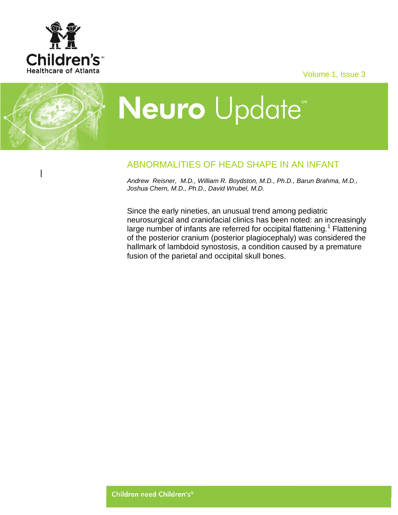

Volume 1, Issue 3

## Neuro Update<sup>\*</sup>

## ABNORMALITIES OF HEAD SHAPE IN AN INFANT

*Andrew Reisner, M.D., William R. Boydston, M.D., Ph.D., Barun Brahma, M.D., Joshua Chern, M.D., Ph.D., David Wrubel, M.D.*

Since the early nineties, an unusual trend among pediatric neurosurgical and craniofacial clinics has been noted: an increasingly large number of infants are referred for occipital flattening.<sup>1</sup> Flattening of the posterior cranium (posterior plagiocephaly) was considered the hallmark of lambdoid synostosis, a condition caused by a premature fusion of the parietal and occipital skull bones.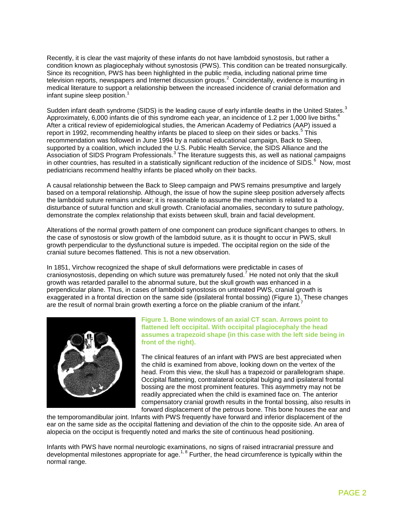Recently, it is clear the vast majority of these infants do not have lambdoid synostosis, but rather a condition known as plagiocephaly without synostosis (PWS). This condition can be treated nonsurgically. Since its recognition, PWS has been highlighted in the public media, including national prime time television reports, newspapers and Internet discussion groups.<sup>2</sup> Coincidentally, evidence is mounting in medical literature to support a relationship between the increased incidence of cranial deformation and infant supine sleep position.<sup>1</sup>

Sudden infant death syndrome (SIDS) is the leading cause of early infantile deaths in the United States.<sup>3</sup> Approximately, 6,000 infants die of this syndrome each year, an incidence of 1.2 per 1,000 live births.<sup>4</sup> After a critical review of epidemiological studies, the American Academy of Pediatrics (AAP) issued a report in 1992, recommending healthy infants be placed to sleep on their sides or backs.<sup>5</sup> This recommendation was followed in June 1994 by a national educational campaign, Back to Sleep, supported by a coalition, which included the U.S. Public Health Service, the SIDS Alliance and the Association of SIDS Program Professionals.<sup>3</sup> The literature suggests this, as well as national campaigns in other countries, has resulted in a statistically significant reduction of the incidence of SIDS.<sup>6</sup> Now, most pediatricians recommend healthy infants be placed wholly on their backs.

A causal relationship between the Back to Sleep campaign and PWS remains presumptive and largely based on a temporal relationship. Although, the issue of how the supine sleep position adversely affects the lambdoid suture remains unclear; it is reasonable to assume the mechanism is related to a disturbance of sutural function and skull growth. Craniofacial anomalies, secondary to suture pathology, demonstrate the complex relationship that exists between skull, brain and facial development.

Alterations of the normal growth pattern of one component can produce significant changes to others. In the case of synostosis or slow growth of the lambdoid suture, as it is thought to occur in PWS, skull growth perpendicular to the dysfunctional suture is impeded. The occipital region on the side of the cranial suture becomes flattened. This is not a new observation.

In 1851, Virchow recognized the shape of skull deformations were predictable in cases of craniosynostosis, depending on which suture was prematurely fused.<sup>7</sup> He noted not only that the skull growth was retarded parallel to the abnormal suture, but the skull growth was enhanced in a perpendicular plane. Thus, in cases of lambdoid synostosis on untreated PWS, cranial growth is exaggerated in a frontal direction on the same side (ipsilateral frontal bossing) (Figure 1). These changes are the result of normal brain growth exerting a force on the pliable cranium of the infant.<sup>7</sup>



## **Figure 1. Bone windows of an axial CT scan. Arrows point to flattened left occipital. With occipital plagiocephaly the head assumes a trapezoid shape (in this case with the left side being in front of the right).**

The clinical features of an infant with PWS are best appreciated when the child is examined from above, looking down on the vertex of the head. From this view, the skull has a trapezoid or parallelogram shape. Occipital flattening, contralateral occipital bulging and ipsilateral frontal bossing are the most prominent features. This asymmetry may not be readily appreciated when the child is examined face on. The anterior compensatory cranial growth results in the frontal bossing, also results in forward displacement of the petrous bone. This bone houses the ear and

the temporomandibular joint. Infants with PWS frequently have forward and inferior displacement of the ear on the same side as the occipital flattening and deviation of the chin to the opposite side. An area of alopecia on the occiput is frequently noted and marks the site of continuous head positioning.

Infants with PWS have normal neurologic examinations, no signs of raised intracranial pressure and developmental milestones appropriate for age.<sup>1, 8</sup> Further, the head circumference is typically within the normal range.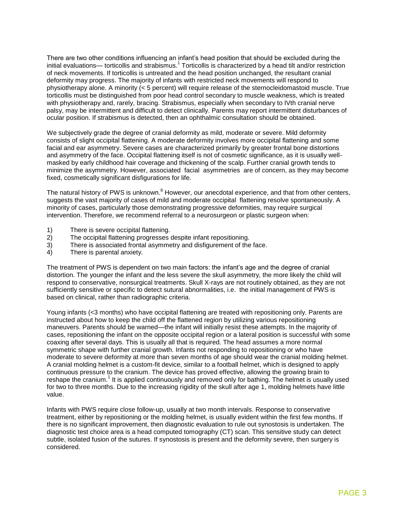There are two other conditions influencing an infant's head position that should be excluded during the initial evaluations— torticollis and strabismus.<sup>1</sup> Torticollis is characterized by a head tilt and/or restriction of neck movements. If torticollis is untreated and the head position unchanged, the resultant cranial deformity may progress. The majority of infants with restricted neck movements will respond to physiotherapy alone. A minority (< 5 percent) will require release of the sternocleidomastoid muscle. True torticollis must be distinguished from poor head control secondary to muscle weakness, which is treated with physiotherapy and, rarely, bracing. Strabismus, especially when secondary to IVth cranial nerve palsy, may be intermittent and difficult to detect clinically. Parents may report intermittent disturbances of ocular position. If strabismus is detected, then an ophthalmic consultation should be obtained.

We subjectively grade the degree of cranial deformity as mild, moderate or severe. Mild deformity consists of slight occipital flattening. A moderate deformity involves more occipital flattening and some facial and ear asymmetry. Severe cases are characterized primarily by greater frontal bone distortions and asymmetry of the face. Occipital flattening itself is not of cosmetic significance, as it is usually wellmasked by early childhood hair coverage and thickening of the scalp. Further cranial growth tends to minimize the asymmetry. However, associated facial asymmetries are of concern, as they may become fixed, cosmetically significant disfigurations for life.

The natural history of PWS is unknown.<sup>8</sup> However, our anecdotal experience, and that from other centers, suggests the vast majority of cases of mild and moderate occipital flattening resolve spontaneously. A minority of cases, particularly those demonstrating progressive deformities, may require surgical intervention. Therefore, we recommend referral to a neurosurgeon or plastic surgeon when:

- 1) There is severe occipital flattening.
- 2) The occipital flattening progresses despite infant repositioning.
- 3) There is associated frontal asymmetry and disfigurement of the face.
- 4) There is parental anxiety.

The treatment of PWS is dependent on two main factors: the infant's age and the degree of cranial distortion. The younger the infant and the less severe the skull asymmetry, the more likely the child will respond to conservative, nonsurgical treatments. Skull X-rays are not routinely obtained, as they are not sufficiently sensitive or specific to detect sutural abnormalities, i.e. the initial management of PWS is based on clinical, rather than radiographic criteria.

Young infants (<3 months) who have occipital flattening are treated with repositioning only. Parents are instructed about how to keep the child off the flattened region by utilizing various repositioning maneuvers. Parents should be warned—the infant will initially resist these attempts. In the majority of cases, repositioning the infant on the opposite occipital region or a lateral position is successful with some coaxing after several days. This is usually all that is required. The head assumes a more normal symmetric shape with further cranial growth. Infants not responding to repositioning or who have moderate to severe deformity at more than seven months of age should wear the cranial molding helmet. A cranial molding helmet is a custom-fit device, similar to a football helmet, which is designed to apply continuous pressure to the cranium. The device has proved effective, allowing the growing brain to reshape the cranium.<sup>1</sup> It is applied continuously and removed only for bathing. The helmet is usually used for two to three months. Due to the increasing rigidity of the skull after age 1, molding helmets have little value.

Infants with PWS require close follow-up, usually at two month intervals. Response to conservative treatment, either by repositioning or the molding helmet, is usually evident within the first few months. If there is no significant improvement, then diagnostic evaluation to rule out synostosis is undertaken. The diagnostic test choice area is a head computed tomography (CT) scan. This sensitive study can detect subtle, isolated fusion of the sutures. If synostosis is present and the deformity severe, then surgery is considered.